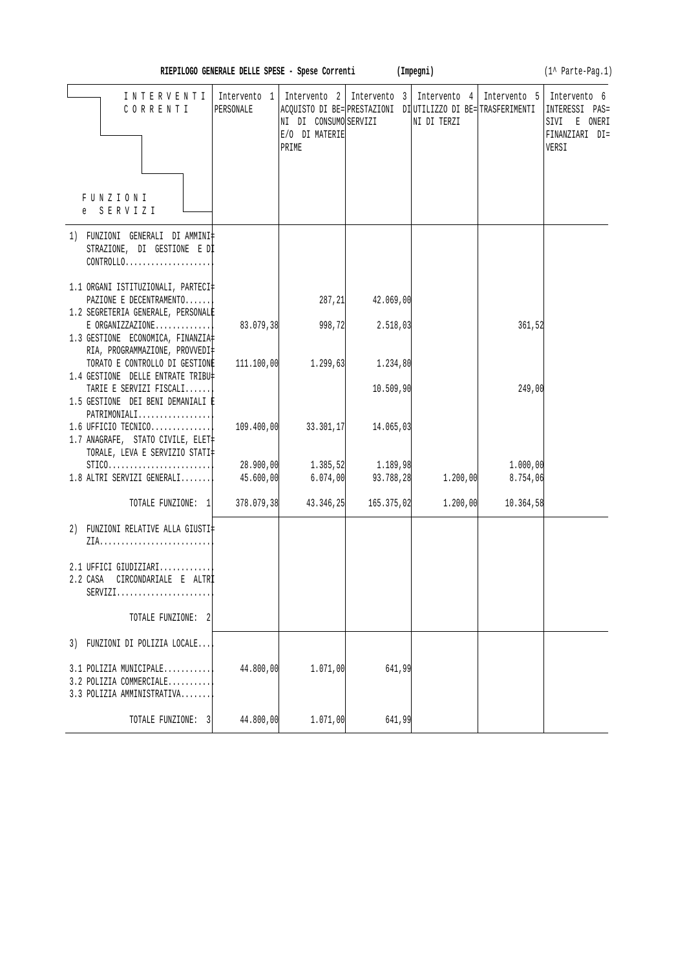|                                                                                                                   | RIEPILOGO GENERALE DELLE SPESE - Spese Correnti (Impegni) |                                                                  |                       |                                                                                             |                      | (1^ Parte-Pag.1)                                                          |
|-------------------------------------------------------------------------------------------------------------------|-----------------------------------------------------------|------------------------------------------------------------------|-----------------------|---------------------------------------------------------------------------------------------|----------------------|---------------------------------------------------------------------------|
| INTERVENTI<br>CORRENTI                                                                                            | Intervento 1<br>PERSONALE                                 | Intervento 2<br>NI DI CONSUMO SERVIZI<br>E/O DI MATERIE<br>PRIME | Intervento 3          | Intervento 4<br>ACQUISTO DI BE= PRESTAZIONI DI UTILIZZO DI BE= TRASFERIMENTI<br>NI DI TERZI | Intervento 5         | Intervento 6<br>INTERESSI PAS=<br>SIVI E ONERI<br>FINANZIARI DI=<br>VERSI |
| FUNZIONI<br>e SERVIZI                                                                                             |                                                           |                                                                  |                       |                                                                                             |                      |                                                                           |
| 1) FUNZIONI GENERALI DI AMMINI‡<br>STRAZIONE, DI GESTIONE E DI<br>$CONTROLLO. \ldots \ldots \ldots \ldots \ldots$ |                                                           |                                                                  |                       |                                                                                             |                      |                                                                           |
| 1.1 ORGANI ISTITUZIONALI, PARTECI‡<br>PAZIONE E DECENTRAMENTO<br>1.2 SEGRETERIA GENERALE, PERSONALE               |                                                           | 287, 21                                                          | 42.069,00             |                                                                                             |                      |                                                                           |
| $E$ ORGANIZZAZIONE<br>1.3 GESTIONE ECONOMICA, FINANZIA<br>RIA, PROGRAMMAZIONE, PROVVEDI‡                          | 83.079,38                                                 | 998,72                                                           | 2.518,03              |                                                                                             | 361,52               |                                                                           |
| TORATO E CONTROLLO DI GESTIONE<br>1.4 GESTIONE DELLE ENTRATE TRIBU‡<br>TARIE E SERVIZI FISCALI                    | 111.100,00                                                | 1.299,63                                                         | 1.234,80<br>10.509,90 |                                                                                             | 249,00               |                                                                           |
| 1.5 GESTIONE DEI BENI DEMANIALI È<br>$PATHIMONIALI$                                                               |                                                           |                                                                  |                       |                                                                                             |                      |                                                                           |
| 1.6 UFFICIO TECNICO<br>1.7 ANAGRAFE, STATO CIVILE, ELET‡<br>TORALE, LEVA E SERVIZIO STATI‡                        | 109.400,00                                                | 33.301,17                                                        | 14.065,03             |                                                                                             |                      |                                                                           |
| $STICO.$<br>$1.8$ ALTRI SERVIZI GENERALI                                                                          | 28.900,00<br>45.600,00                                    | 1.385, 52<br>6.074,00                                            | 1.189,98<br>93.788,28 | 1.200,00                                                                                    | 1.000,00<br>8.754,06 |                                                                           |
| TOTALE FUNZIONE: 1                                                                                                | 378.079,38                                                | 43.346,25                                                        | 165.375,02            | 1.200,00                                                                                    | 10.364,58            |                                                                           |
| 2) FUNZIONI RELATIVE ALLA GIUSTI‡                                                                                 |                                                           |                                                                  |                       |                                                                                             |                      |                                                                           |
| 2.1 UFFICI GIUDIZIARI<br>2.2 CASA CIRCONDARIALE E ALTRI<br>$SERVIZI.$                                             |                                                           |                                                                  |                       |                                                                                             |                      |                                                                           |
| TOTALE FUNZIONE: 2                                                                                                |                                                           |                                                                  |                       |                                                                                             |                      |                                                                           |
| 3) FUNZIONI DI POLIZIA LOCALE                                                                                     |                                                           |                                                                  |                       |                                                                                             |                      |                                                                           |
| 3.1 POLIZIA MUNICIPALE<br>3.2 POLIZIA COMMERCIALE<br>3.3 POLIZIA AMMINISTRATIVA                                   | 44.800,00                                                 | 1.071,00                                                         | 641,99                |                                                                                             |                      |                                                                           |
| TOTALE FUNZIONE:<br>3                                                                                             | 44.800,00                                                 | 1.071,00                                                         | 641,99                |                                                                                             |                      |                                                                           |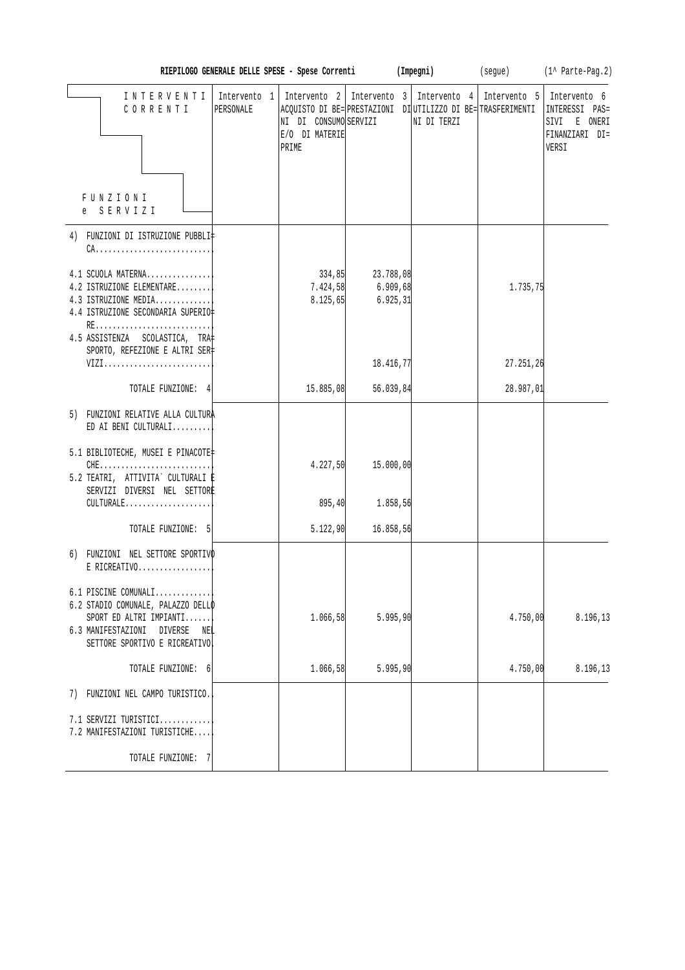|                                                                                                                                                                |                           | RIEPILOGO GENERALE DELLE SPESE - Spese Correnti  |                                    | (Impegni)                                                                                                                   | (segue)      | (1^ Parte-Pag.2)                                                          |
|----------------------------------------------------------------------------------------------------------------------------------------------------------------|---------------------------|--------------------------------------------------|------------------------------------|-----------------------------------------------------------------------------------------------------------------------------|--------------|---------------------------------------------------------------------------|
| INTERVENTI<br>CORRENTI<br>FUNZIONI<br>e SERVIZI                                                                                                                | Intervento 1<br>PERSONALE | NI DI CONSUMO SERVIZI<br>E/O DI MATERIE<br>PRIME |                                    | Intervento 2   Intervento 3   Intervento 4  <br>ACQUISTO DI BE= PRESTAZIONI DI UTILIZZO DI BE= TRASFERIMENTI<br>NI DI TERZI | Intervento 5 | Intervento 6<br>INTERESSI PAS=<br>SIVI E ONERI<br>FINANZIARI DI=<br>VERSI |
|                                                                                                                                                                |                           |                                                  |                                    |                                                                                                                             |              |                                                                           |
| 4) FUNZIONI DI ISTRUZIONE PUBBLI‡<br>$CA.$<br>4.1 SCUOLA MATERNA<br>4.2 ISTRUZIONE ELEMENTARE<br>4.3 ISTRUZIONE MEDIA<br>4.4 ISTRUZIONE SECONDARIA SUPERIO     |                           | 334,85<br>7.424,58<br>8.125,65                   | 23.788,08<br>6.909,68<br>6.925, 31 |                                                                                                                             | 1.735,75     |                                                                           |
| RE<br>4.5 ASSISTENZA SCOLASTICA, TRA<br>SPORTO, REFEZIONE E ALTRI SER<br>VIZI                                                                                  |                           |                                                  | 18.416,77                          |                                                                                                                             | 27.251,26    |                                                                           |
| TOTALE FUNZIONE: 4                                                                                                                                             |                           | 15.885,08                                        | 56.039,84                          |                                                                                                                             | 28.987,01    |                                                                           |
| 5) FUNZIONI RELATIVE ALLA CULTURA<br>ED AI BENI CULTURALI                                                                                                      |                           |                                                  |                                    |                                                                                                                             |              |                                                                           |
| 5.1 BIBLIOTECHE, MUSEI E PINACOTE<br>$CHE$<br>5.2 TEATRI, ATTIVITA` CULTURALI E<br>SERVIZI DIVERSI NEL SETTORE                                                 |                           | 4.227,50                                         | 15.000,00                          |                                                                                                                             |              |                                                                           |
| CULTURALE                                                                                                                                                      |                           | 895, 40                                          | 1.858,56                           |                                                                                                                             |              |                                                                           |
| TOTALE FUNZIONE: 5                                                                                                                                             |                           | 5.122,90                                         | 16.858,56                          |                                                                                                                             |              |                                                                           |
| 6) FUNZIONI NEL SETTORE SPORTIVO<br>E RICREATIVO                                                                                                               |                           |                                                  |                                    |                                                                                                                             |              |                                                                           |
| 6.1 PISCINE COMUNALI<br>6.2 STADIO COMUNALE, PALAZZO DELLO<br>SPORT ED ALTRI IMPIANTI<br>6.3 MANIFESTAZIONI<br>DIVERSE<br>NEL<br>SETTORE SPORTIVO E RICREATIVO |                           | 1.066,58                                         | 5.995,90                           |                                                                                                                             | 4.750,00     | 8.196,13                                                                  |
| TOTALE FUNZIONE: 6                                                                                                                                             |                           | 1.066,58                                         | 5.995,90                           |                                                                                                                             | 4.750,00     | 8.196,13                                                                  |
| 7) FUNZIONI NEL CAMPO TURISTICO.                                                                                                                               |                           |                                                  |                                    |                                                                                                                             |              |                                                                           |
| 7.1 SERVIZI TURISTICI<br>7.2 MANIFESTAZIONI TURISTICHE                                                                                                         |                           |                                                  |                                    |                                                                                                                             |              |                                                                           |
| TOTALE FUNZIONE: 7                                                                                                                                             |                           |                                                  |                                    |                                                                                                                             |              |                                                                           |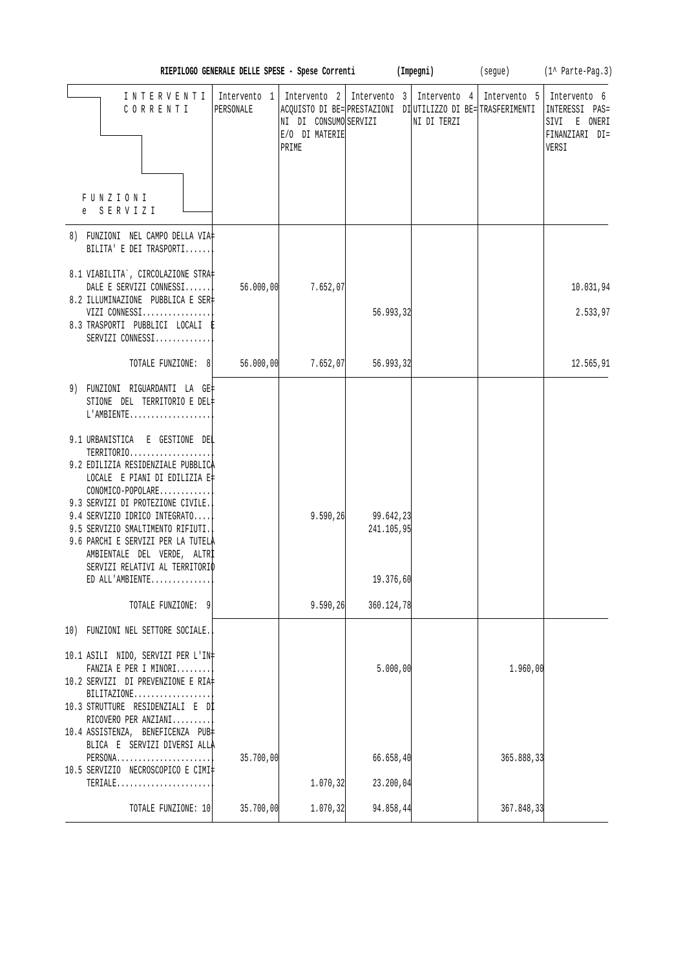|                                                                                                                                                                                                                                                                          | RIEPILOGO GENERALE DELLE SPESE - Spese Correnti (Impegni) |                                                  |                         |                                                                                                                             |            | (segue) (1^ Parte-Pag.3)                                                                 |
|--------------------------------------------------------------------------------------------------------------------------------------------------------------------------------------------------------------------------------------------------------------------------|-----------------------------------------------------------|--------------------------------------------------|-------------------------|-----------------------------------------------------------------------------------------------------------------------------|------------|------------------------------------------------------------------------------------------|
| INTERVENTI<br>CORRENTI                                                                                                                                                                                                                                                   | Intervento 1<br>PERSONALE                                 | NI DI CONSUMO SERVIZI<br>E/O DI MATERIE<br>PRIME |                         | Intervento 2   Intervento 3   Intervento 4  <br>ACQUISTO DI BE= PRESTAZIONI DI UTILIZZO DI BE= TRASFERIMENTI<br>NI DI TERZI |            | Intervento 5   Intervento 6<br>INTERESSI PAS=<br>SIVI E ONERI<br>FINANZIARI DI=<br>VERSI |
| FUNZIONI<br>e SERVIZI                                                                                                                                                                                                                                                    |                                                           |                                                  |                         |                                                                                                                             |            |                                                                                          |
| 8) FUNZIONI NEL CAMPO DELLA VIA‡<br>BILITA' E DEI TRASPORTI                                                                                                                                                                                                              |                                                           |                                                  |                         |                                                                                                                             |            |                                                                                          |
| 8.1 VIABILITA`, CIRCOLAZIONE STRA‡<br>DALE E SERVIZI CONNESSI<br>8.2 ILLUMINAZIONE PUBBLICA E SER‡                                                                                                                                                                       | 56.000,00                                                 | 7.652,07                                         |                         |                                                                                                                             |            | 10.031,94                                                                                |
| VIZI CONNESSI<br>8.3 TRASPORTI PUBBLICI LOCALI E<br>SERVIZI CONNESSI                                                                                                                                                                                                     |                                                           |                                                  | 56.993,32               |                                                                                                                             |            | 2.533,97                                                                                 |
| TOTALE FUNZIONE: 8                                                                                                                                                                                                                                                       | 56.000,00                                                 | 7.652,07                                         | 56.993,32               |                                                                                                                             |            | 12.565,91                                                                                |
| 9) FUNZIONI RIGUARDANTI LA GE‡<br>STIONE DEL TERRITORIO E DEL‡<br>L'AMBIENTE<br>9.1 URBANISTICA E GESTIONE DEL<br>TERRITORIO                                                                                                                                             |                                                           |                                                  |                         |                                                                                                                             |            |                                                                                          |
| 9.2 EDILIZIA RESIDENZIALE PUBBLICA<br>LOCALE E PIANI DI EDILIZIA E‡<br>CONOMICO-POPOLARE<br>9.3 SERVIZI DI PROTEZIONE CIVILE.<br>9.4 SERVIZIO IDRICO INTEGRATO<br>9.5 SERVIZIO SMALTIMENTO RIFIUTI.<br>9.6 PARCHI E SERVIZI PER LA TUTELA<br>AMBIENTALE DEL VERDE, ALTRI |                                                           | 9.590, 26                                        | 99.642,23<br>241.105,95 |                                                                                                                             |            |                                                                                          |
| SERVIZI RELATIVI AL TERRITORIO<br>ED ALL'AMBIENTE                                                                                                                                                                                                                        |                                                           |                                                  | 19.376,60               |                                                                                                                             |            |                                                                                          |
| TOTALE FUNZIONE: 9                                                                                                                                                                                                                                                       |                                                           | 9.590, 26                                        | 360.124,78              |                                                                                                                             |            |                                                                                          |
| 10) FUNZIONI NEL SETTORE SOCIALE.                                                                                                                                                                                                                                        |                                                           |                                                  |                         |                                                                                                                             |            |                                                                                          |
| 10.1 ASILI NIDO, SERVIZI PER L'IN‡<br>FANZIA E PER I MINORI<br>10.2 SERVIZI DI PREVENZIONE E RIA#<br>BILITAZIONE<br>10.3 STRUTTURE RESIDENZIALI E DI<br>RICOVERO PER ANZIANI                                                                                             |                                                           |                                                  | 5.000,00                |                                                                                                                             | 1.960,00   |                                                                                          |
| 10.4 ASSISTENZA, BENEFICENZA PUB‡<br>BLICA E SERVIZI DIVERSI ALLA<br>PERSONA<br>10.5 SERVIZIO NECROSCOPICO E CIMI‡                                                                                                                                                       | 35.700,00                                                 |                                                  | 66.658,40               |                                                                                                                             | 365.888,33 |                                                                                          |
| TERIALE                                                                                                                                                                                                                                                                  |                                                           | 1.070, 32                                        | 23.200,04               |                                                                                                                             |            |                                                                                          |
| TOTALE FUNZIONE: 10                                                                                                                                                                                                                                                      | 35.700,00                                                 | 1.070, 32                                        | 94.858,44               |                                                                                                                             | 367.848,33 |                                                                                          |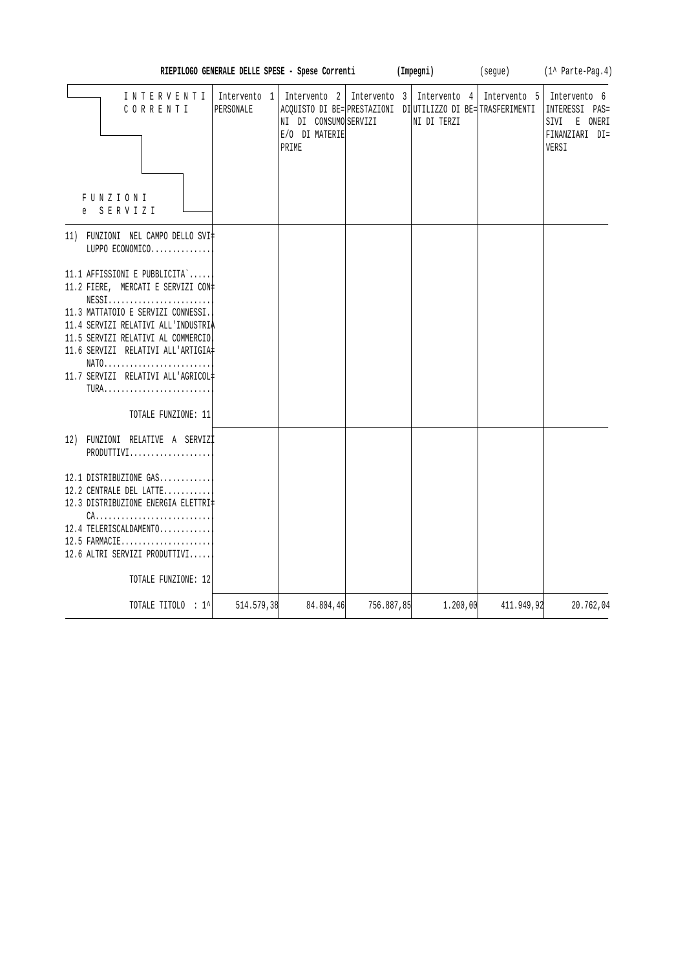|                                                                                                                                                                                                                                                                                                                        |                           | RIEPILOGO GENERALE DELLE SPESE - Spese Correnti                  |              | (Impegni)                                                                   | (segue)                   | (1^ Parte-Pag.4)                                                          |
|------------------------------------------------------------------------------------------------------------------------------------------------------------------------------------------------------------------------------------------------------------------------------------------------------------------------|---------------------------|------------------------------------------------------------------|--------------|-----------------------------------------------------------------------------|---------------------------|---------------------------------------------------------------------------|
| INTERVENTI<br>CORRENTI<br>FUNZIONI<br>e SERVIZI                                                                                                                                                                                                                                                                        | Intervento 1<br>PERSONALE | Intervento 2<br>NI DI CONSUMO SERVIZI<br>E/O DI MATERIE<br>PRIME | Intervento 3 | ACQUISTO DI BE= PRESTAZIONI DI UTILIZZO DI BE= TRASFERIMENTI<br>NI DI TERZI | Intervento 4 Intervento 5 | Intervento 6<br>INTERESSI PAS=<br>SIVI E ONERI<br>FINANZIARI DI=<br>VERSI |
| 11) FUNZIONI NEL CAMPO DELLO SVI‡<br>LUPPO ECONOMICO                                                                                                                                                                                                                                                                   |                           |                                                                  |              |                                                                             |                           |                                                                           |
| 11.1 AFFISSIONI E PUBBLICITA`<br>11.2 FIERE, MERCATI E SERVIZI CON‡<br>$NESS1$<br>11.3 MATTATOIO E SERVIZI CONNESSI.<br>11.4 SERVIZI RELATIVI ALL'INDUSTRIA<br>11.5 SERVIZI RELATIVI AL COMMERCIO<br>11.6 SERVIZI RELATIVI ALL'ARTIGIA#<br>$NATO$<br>11.7 SERVIZI RELATIVI ALL'AGRICOL#<br>TURA<br>TOTALE FUNZIONE: 11 |                           |                                                                  |              |                                                                             |                           |                                                                           |
| 12) FUNZIONI RELATIVE A SERVIZI<br>PRODUTTIVI                                                                                                                                                                                                                                                                          |                           |                                                                  |              |                                                                             |                           |                                                                           |
| 12.1 DISTRIBUZIONE GAS<br>12.2 CENTRALE DEL LATTE<br>12.3 DISTRIBUZIONE ENERGIA ELETTRI‡<br>$CA.$<br>12.4 TELERISCALDAMENTO<br>12.5 FARMACIE<br>12.6 ALTRI SERVIZI PRODUTTIVI<br>TOTALE FUNZIONE: 12                                                                                                                   |                           |                                                                  |              |                                                                             |                           |                                                                           |
| TOTALE TITOLO : 1^                                                                                                                                                                                                                                                                                                     | 514.579,38                | 84.804,46                                                        | 756.887,85   | 1.200,00                                                                    | 411.949,92                | 20.762,04                                                                 |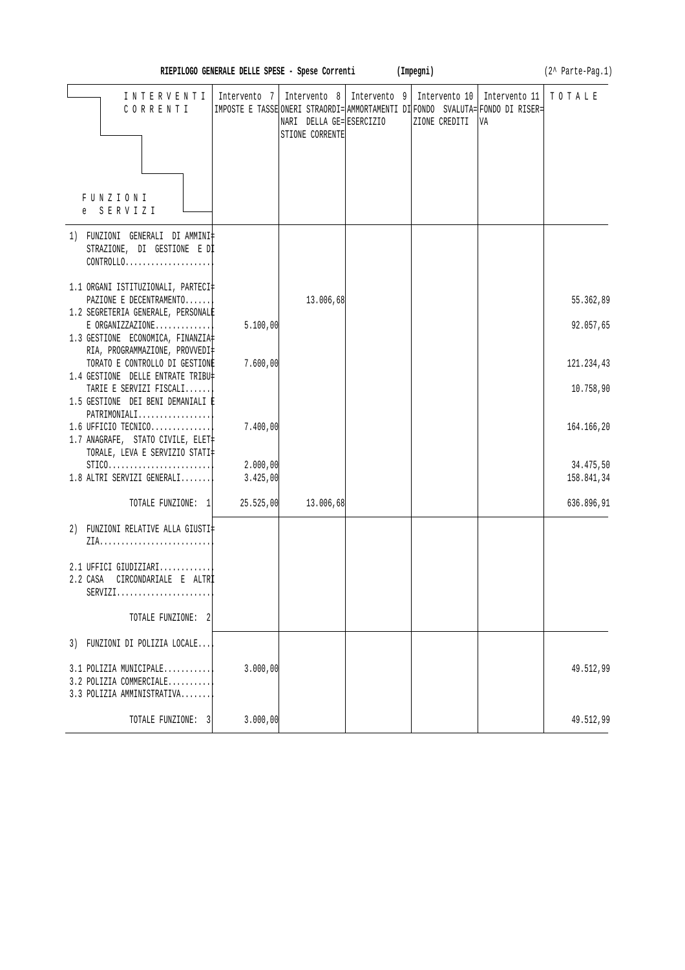| (Impegni)<br>(2^ Parte-Pag.1)<br>RIEPILOGO GENERALE DELLE SPESE - Spese Correnti         |              |                                             |  |                                                                                                                                                  |                     |            |  |  |
|------------------------------------------------------------------------------------------|--------------|---------------------------------------------|--|--------------------------------------------------------------------------------------------------------------------------------------------------|---------------------|------------|--|--|
| INTERVENTI<br>CORRENTI                                                                   | Intervento 7 | NARI DELLA GE= ESERCIZIO<br>STIONE CORRENTE |  | Intervento 8   Intervento 9   Intervento 10  <br>IMPOSTE E TASSE ONERI STRAORDI= AMMORTAMENTI DI FONDO SVALUTA= FONDO DI RISER=<br>ZIONE CREDITI | Intervento 11<br>VA | TOTALE     |  |  |
| FUNZIONI<br>e SERVIZI                                                                    |              |                                             |  |                                                                                                                                                  |                     |            |  |  |
| 1) FUNZIONI GENERALI DIAMMINI#<br>STRAZIONE, DI GESTIONE E DI<br>CONTROLLO               |              |                                             |  |                                                                                                                                                  |                     |            |  |  |
| 1.1 ORGANI ISTITUZIONALI, PARTECI‡<br>PAZIONE E DECENTRAMENTO                            |              | 13.006,68                                   |  |                                                                                                                                                  |                     | 55.362,89  |  |  |
| 1.2 SEGRETERIA GENERALE, PERSONALE                                                       |              |                                             |  |                                                                                                                                                  |                     |            |  |  |
| $E$ ORGANIZZAZIONE<br>1.3 GESTIONE ECONOMICA, FINANZIA<br>RIA, PROGRAMMAZIONE, PROVVEDI‡ | 5.100,00     |                                             |  |                                                                                                                                                  |                     | 92.057,65  |  |  |
| TORATO E CONTROLLO DI GESTIONE                                                           | 7.600,00     |                                             |  |                                                                                                                                                  |                     | 121.234,43 |  |  |
| 1.4 GESTIONE DELLE ENTRATE TRIBU‡<br>TARIE E SERVIZI FISCALI                             |              |                                             |  |                                                                                                                                                  |                     | 10.758,90  |  |  |
| 1.5 GESTIONE DEI BENI DEMANIALI P                                                        |              |                                             |  |                                                                                                                                                  |                     |            |  |  |
| PATRIMONIALI<br>1.6 UFFICIO TECNICO<br>1.7 ANAGRAFE, STATO CIVILE, ELET                  | 7.400,00     |                                             |  |                                                                                                                                                  |                     | 164.166,20 |  |  |
| TORALE, LEVA E SERVIZIO STATI‡<br>$STICO.$                                               | 2.000,00     |                                             |  |                                                                                                                                                  |                     | 34.475,50  |  |  |
| $1.8$ ALTRI SERVIZI GENERALI                                                             | 3.425,00     |                                             |  |                                                                                                                                                  |                     | 158.841,34 |  |  |
| TOTALE FUNZIONE: 1 25.525,00                                                             |              | 13.006,68                                   |  |                                                                                                                                                  |                     | 636.896,91 |  |  |
| 2) FUNZIONI RELATIVE ALLA GIUSTI                                                         |              |                                             |  |                                                                                                                                                  |                     |            |  |  |
| 2.1 UFFICI GIUDIZIARI<br>2.2 CASA CIRCONDARIALE E ALTR<br>$SERVIZI$                      |              |                                             |  |                                                                                                                                                  |                     |            |  |  |
| TOTALE FUNZIONE: 2                                                                       |              |                                             |  |                                                                                                                                                  |                     |            |  |  |
| 3) FUNZIONI DI POLIZIA LOCALE                                                            |              |                                             |  |                                                                                                                                                  |                     |            |  |  |
| 3.1 POLIZIA MUNICIPALE<br>3.2 POLIZIA COMMERCIALE<br>3.3 POLIZIA AMMINISTRATIVA          | 3.000,00     |                                             |  |                                                                                                                                                  |                     | 49.512,99  |  |  |
| TOTALE FUNZIONE: 3                                                                       | 3.000,00     |                                             |  |                                                                                                                                                  |                     | 49.512,99  |  |  |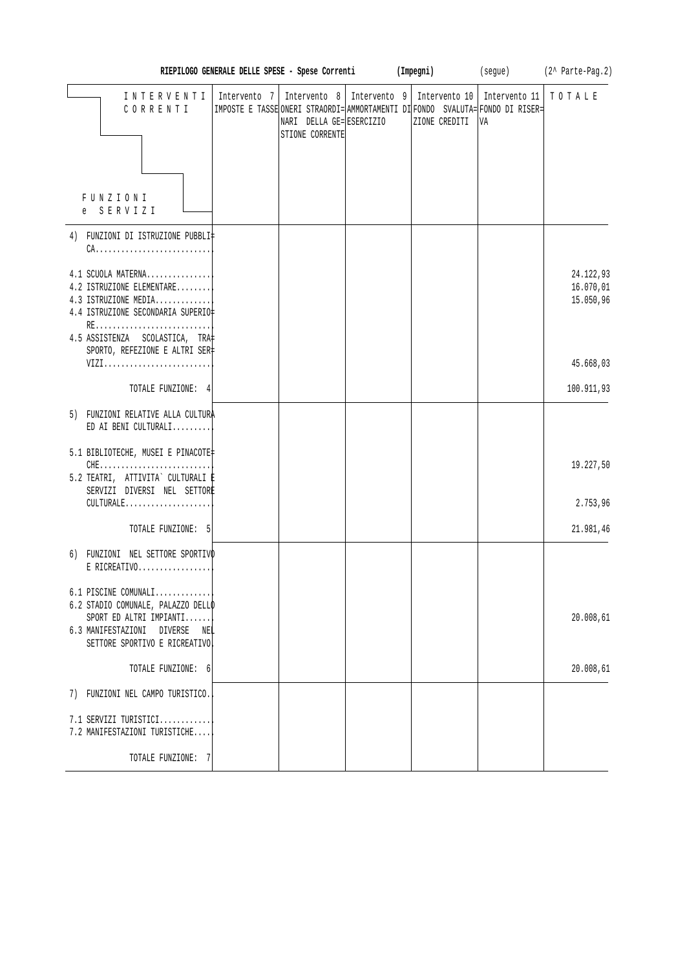|                                                                                                                                                                                        | RIEPILOGO GENERALE DELLE SPESE - Spese Correnti |                                                                                                                                                                               | (Impegni) |               |                     | (segue) (2^ Parte-Pag.2)            |
|----------------------------------------------------------------------------------------------------------------------------------------------------------------------------------------|-------------------------------------------------|-------------------------------------------------------------------------------------------------------------------------------------------------------------------------------|-----------|---------------|---------------------|-------------------------------------|
| INTERVENTI<br>CORRENTI<br>FUNZIONI<br>SERVIZI                                                                                                                                          | Intervento 7                                    | Intervento 8   Intervento 9   Intervento 10  <br>IMPOSTE E TASSE ONERI STRAORDI= AMMORTAMENTI DI FONDO SVALUTA= FONDO DI RISER=<br>NARI DELLA GE=ESERCIZIO<br>STIONE CORRENTE |           | ZIONE CREDITI | Intervento 11<br>VA | TOTALE                              |
|                                                                                                                                                                                        |                                                 |                                                                                                                                                                               |           |               |                     |                                     |
| 4) FUNZIONI DI ISTRUZIONE PUBBLI‡<br>$CA.$                                                                                                                                             |                                                 |                                                                                                                                                                               |           |               |                     |                                     |
| 4.1 SCUOLA MATERNA<br>4.2 ISTRUZIONE ELEMENTARE<br>4.3 ISTRUZIONE MEDIA<br>4.4 ISTRUZIONE SECONDARIA SUPERIO‡<br>RE<br>4.5 ASSISTENZA SCOLASTICA, TRA<br>SPORTO, REFEZIONE E ALTRI SER |                                                 |                                                                                                                                                                               |           |               |                     | 24.122,93<br>16.070,01<br>15.050,96 |
| VIZI                                                                                                                                                                                   |                                                 |                                                                                                                                                                               |           |               |                     | 45.668,03                           |
| TOTALE FUNZIONE: 4                                                                                                                                                                     |                                                 |                                                                                                                                                                               |           |               |                     | 100.911,93                          |
| 5) FUNZIONI RELATIVE ALLA CULTURA<br>ED AI BENI CULTURALI                                                                                                                              |                                                 |                                                                                                                                                                               |           |               |                     |                                     |
| 5.1 BIBLIOTECHE, MUSEI E PINACOTE<br>$CHE$<br>5.2 TEATRI, ATTIVITA` CULTURALI ‡<br>SERVIZI DIVERSI NEL SETTORE                                                                         |                                                 |                                                                                                                                                                               |           |               |                     | 19.227,50                           |
| CULTURALE                                                                                                                                                                              |                                                 |                                                                                                                                                                               |           |               |                     | 2.753,96                            |
| TOTALE FUNZIONE: 5                                                                                                                                                                     |                                                 |                                                                                                                                                                               |           |               |                     | 21.981,46                           |
| 6) FUNZIONI NEL SETTORE SPORTIVO<br>$E$ RICREATIVO                                                                                                                                     |                                                 |                                                                                                                                                                               |           |               |                     |                                     |
| 6.1 PISCINE COMUNALI<br>6.2 STADIO COMUNALE, PALAZZO DELLO<br>SPORT ED ALTRI IMPIANTI<br>6.3 MANIFESTAZIONI<br>DIVERSE<br>NEL<br>SETTORE SPORTIVO E RICREATIVO                         |                                                 |                                                                                                                                                                               |           |               |                     | 20.008,61                           |
| TOTALE FUNZIONE: 6                                                                                                                                                                     |                                                 |                                                                                                                                                                               |           |               |                     | 20.008,61                           |
| 7) FUNZIONI NEL CAMPO TURISTICO.                                                                                                                                                       |                                                 |                                                                                                                                                                               |           |               |                     |                                     |
| 7.1 SERVIZI TURISTICI<br>7.2 MANIFESTAZIONI TURISTICHE                                                                                                                                 |                                                 |                                                                                                                                                                               |           |               |                     |                                     |
| TOTALE FUNZIONE: 7                                                                                                                                                                     |                                                 |                                                                                                                                                                               |           |               |                     |                                     |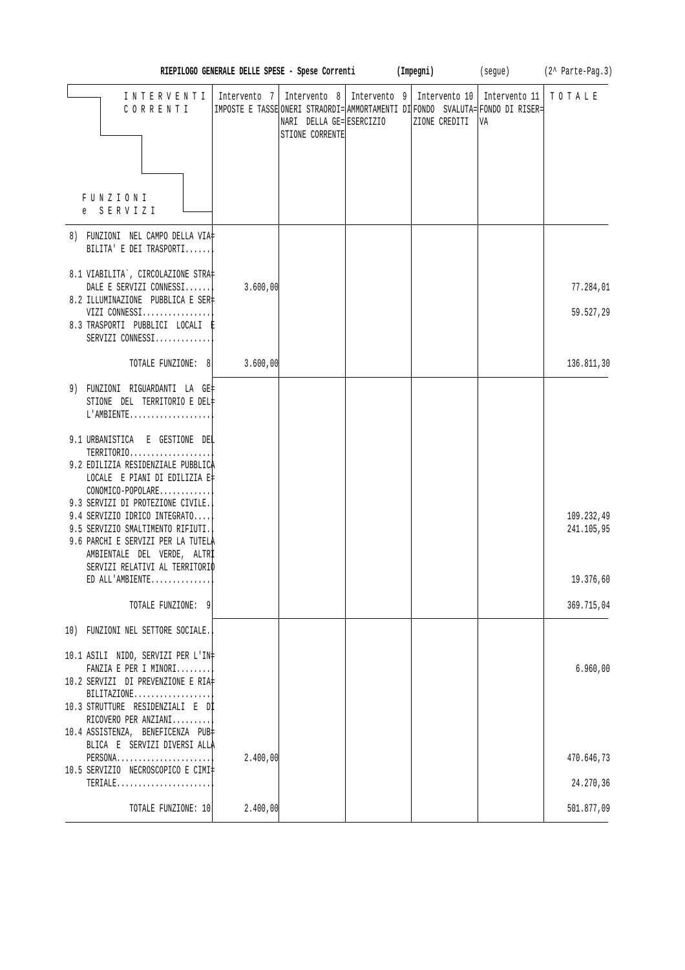|                                                                                                                                                                                                                     | RIEPILOGO GENERALE DELLE SPESE - Spese Correnti (Impegni) |                                            |                                                                                                                                                                                |    | (segue) (2^ Parte-Pag.3) |
|---------------------------------------------------------------------------------------------------------------------------------------------------------------------------------------------------------------------|-----------------------------------------------------------|--------------------------------------------|--------------------------------------------------------------------------------------------------------------------------------------------------------------------------------|----|--------------------------|
| INTERVENTI<br>$C 0 R R E N T I$                                                                                                                                                                                     |                                                           | NARI DELLA GE=ESERCIZIO<br>STIONE CORRENTE | Intervento 7   Intervento 8   Intervento 9   Intervento 10   Intervento 11<br> IMPOSTE E TASSE ONERI STRAORDI= AMMORTAMENTI DI FONDO SVALUTA= FONDO DI RISER=<br>ZIONE CREDITI | VA | TOTALE                   |
| <b>FUNZIONI</b><br>e SERVIZI                                                                                                                                                                                        |                                                           |                                            |                                                                                                                                                                                |    |                          |
| 8) FUNZIONI NEL CAMPO DELLA VIA‡<br>BILITA' E DEI TRASPORTI                                                                                                                                                         |                                                           |                                            |                                                                                                                                                                                |    |                          |
| 8.1 VIABILITA`, CIRCOLAZIONE STRA‡<br>DALE E SERVIZI CONNESSI<br>8.2 ILLUMINAZIONE PUBBLICA E SER‡                                                                                                                  | 3.600,00                                                  |                                            |                                                                                                                                                                                |    | 77.284,01                |
| VIZI CONNESSI<br>8.3 TRASPORTI PUBBLICI LOCALI E<br>SERVIZI CONNESSI                                                                                                                                                |                                                           |                                            |                                                                                                                                                                                |    | 59.527,29                |
| TOTALE FUNZIONE: 8                                                                                                                                                                                                  | 3.600,00                                                  |                                            |                                                                                                                                                                                |    | 136.811,30               |
| 9) FUNZIONI RIGUARDANTI LA GE‡<br>STIONE DEL TERRITORIO E DEL‡<br>L'AMBIENTE                                                                                                                                        |                                                           |                                            |                                                                                                                                                                                |    |                          |
| 9.1 URBANISTICA E GESTIONE DEL<br>TERRITORIO<br>9.2 EDILIZIA RESIDENZIALE PUBBLICA<br>LOCALE E PIANI DI EDILIZIA E‡<br>CONOMICO-POPOLARE                                                                            |                                                           |                                            |                                                                                                                                                                                |    |                          |
| 9.3 SERVIZI DI PROTEZIONE CIVILE.<br>9.4 SERVIZIO IDRICO INTEGRATO<br>9.5 SERVIZIO SMALTIMENTO RIFIUTI.<br>9.6 PARCHI E SERVIZI PER LA TUTELA<br>AMBIENTALE DEL VERDE, ALTRI<br>SERVIZI RELATIVI AL TERRITORIO      |                                                           |                                            |                                                                                                                                                                                |    | 109.232,49<br>241.105,95 |
| ED ALL'AMBIENTE                                                                                                                                                                                                     |                                                           |                                            |                                                                                                                                                                                |    | 19.376,60                |
| TOTALE FUNZIONE: 9                                                                                                                                                                                                  |                                                           |                                            |                                                                                                                                                                                |    | 369.715,04               |
| 10) FUNZIONI NEL SETTORE SOCIALE.                                                                                                                                                                                   |                                                           |                                            |                                                                                                                                                                                |    |                          |
| 10.1 ASILI NIDO, SERVIZI PER L'IN‡<br>FANZIA E PER I MINORI<br>10.2 SERVIZI DI PREVENZIONE E RIA‡<br>$BILITAZIONE$<br>10.3 STRUTTURE RESIDENZIALI E Dİ<br>RICOVERO PER ANZIANI<br>10.4 ASSISTENZA, BENEFICENZA PUB‡ |                                                           |                                            |                                                                                                                                                                                |    | 6.960,00                 |
| BLICA E SERVIZI DIVERSI ALLA<br>PERSONA<br>10.5 SERVIZIO NECROSCOPICO E CIMI‡                                                                                                                                       | 2.400,00                                                  |                                            |                                                                                                                                                                                |    | 470.646,73               |
| TERIALE                                                                                                                                                                                                             |                                                           |                                            |                                                                                                                                                                                |    | 24.270,36                |
| TOTALE FUNZIONE: 10                                                                                                                                                                                                 | 2.400,00                                                  |                                            |                                                                                                                                                                                |    | 501.877,09               |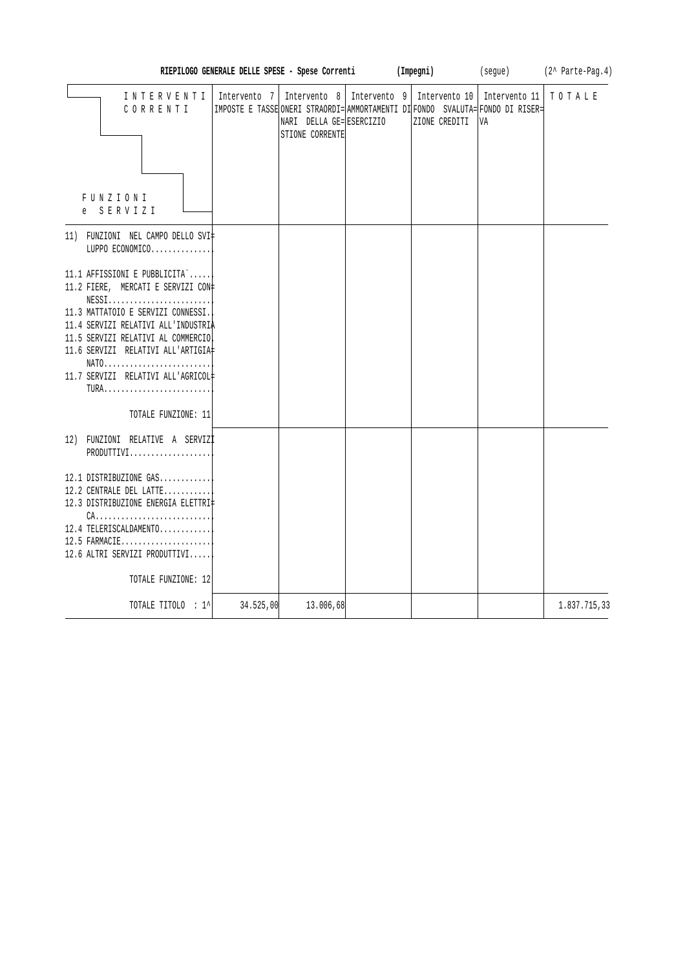|                                                                                                                                                                                                                                                                                               | RIEPILOGO GENERALE DELLE SPESE - Spese Correnti                                                |                                             | (Impegni)     | (seque)                                                           | (2^ Parte-Pag.4) |
|-----------------------------------------------------------------------------------------------------------------------------------------------------------------------------------------------------------------------------------------------------------------------------------------------|------------------------------------------------------------------------------------------------|---------------------------------------------|---------------|-------------------------------------------------------------------|------------------|
| INTERVENTI<br>CORRENTI<br><b>FUNZIONI</b><br>e SERVIZI                                                                                                                                                                                                                                        | Intervento 7<br>IMPOSTE E TASSE ONERI STRAORDI= AMMORTAMENTI DI FONDO SVALUTA= FONDO DI RISER= | NARI DELLA GE= ESERCIZIO<br>STIONE CORRENTE | ZIONE CREDITI | Intervento 8   Intervento 9   Intervento 10   Intervento 11<br>VA | TOTALE           |
| 11) FUNZIONI NEL CAMPO DELLO SVI‡<br>LUPPO ECONOMICO                                                                                                                                                                                                                                          |                                                                                                |                                             |               |                                                                   |                  |
| 11.1 AFFISSIONI E PUBBLICITA`<br>11.2 FIERE, MERCATI E SERVIZI CON‡<br>$NESS1$<br>11.3 MATTATOIO E SERVIZI CONNESSI.<br>11.4 SERVIZI RELATIVI ALL'INDUSTRIA<br>11.5 SERVIZI RELATIVI AL COMMERCIO<br>11.6 SERVIZI RELATIVI ALL'ARTIGIA#<br>NATO<br>11.7 SERVIZI RELATIVI ALL'AGRICOL#<br>TURA |                                                                                                |                                             |               |                                                                   |                  |
| TOTALE FUNZIONE: 11                                                                                                                                                                                                                                                                           |                                                                                                |                                             |               |                                                                   |                  |
| 12) FUNZIONI RELATIVE A SERVIZI<br>PRODUTTIVI                                                                                                                                                                                                                                                 |                                                                                                |                                             |               |                                                                   |                  |
| 12.1 DISTRIBUZIONE GAS<br>12.2 CENTRALE DEL LATTE<br>12.3 DISTRIBUZIONE ENERGIA ELETTRI‡<br>$CA.$<br>12.4 TELERISCALDAMENTO<br>12.5 FARMACIE<br>12.6 ALTRI SERVIZI PRODUTTIVI<br>TOTALE FUNZIONE: 12                                                                                          |                                                                                                |                                             |               |                                                                   |                  |
| TOTALE TITOLO : 1^                                                                                                                                                                                                                                                                            | 34.525,00                                                                                      | 13.006,68                                   |               |                                                                   | 1.837.715,33     |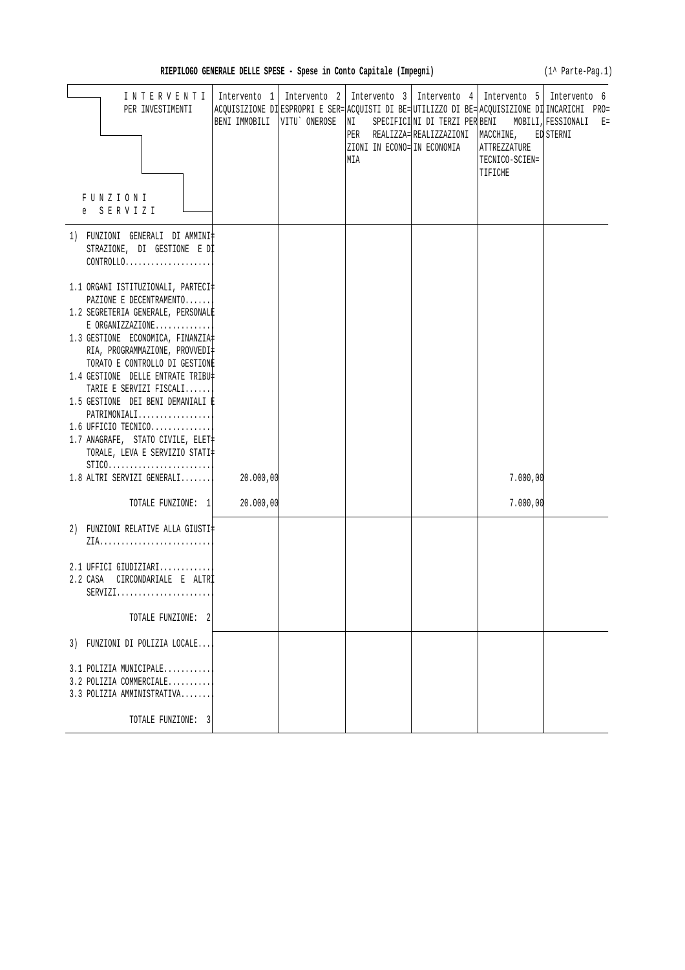(1^ Parte-Pag.1)

| INTERVENTI                                                | Intervento 1                  | Intervento 2   Intervento 3   Intervento 4                                                     | Intervento 5   Intervento 6                      |       |
|-----------------------------------------------------------|-------------------------------|------------------------------------------------------------------------------------------------|--------------------------------------------------|-------|
| PER INVESTIMENTI                                          |                               | ACQUISIZIONE DI ESPROPRI E SER= ACQUISTI DI BE= UTILIZZO DI BE= ACQUISIZIONE DI INCARICHI PRO= |                                                  |       |
|                                                           | BENI IMMOBILI   VITU` ONEROSE | $\overline{\text{NI}}$                                                                         | SPECIFICINI DI TERZI PER BENI MOBILI, FESSIONALI | $E =$ |
|                                                           |                               |                                                                                                | PER REALIZZA= REALIZZAZIONI MACCHINE, ED STERNI  |       |
|                                                           |                               | ZIONI IN ECONO= IN ECONOMIA<br>MIA                                                             | ATTREZZATURE<br>TECNICO-SCIEN=                   |       |
|                                                           |                               |                                                                                                | TIFICHE                                          |       |
|                                                           |                               |                                                                                                |                                                  |       |
| FUNZIONI                                                  |                               |                                                                                                |                                                  |       |
| e SERVIZI                                                 |                               |                                                                                                |                                                  |       |
|                                                           |                               |                                                                                                |                                                  |       |
| 1) FUNZIONI GENERALI DIAMMINI‡                            |                               |                                                                                                |                                                  |       |
| STRAZIONE, DI GESTIONE E DI                               |                               |                                                                                                |                                                  |       |
| CONTROLLO                                                 |                               |                                                                                                |                                                  |       |
| 1.1 ORGANI ISTITUZIONALI, PARTECI‡                        |                               |                                                                                                |                                                  |       |
| PAZIONE E DECENTRAMENTO                                   |                               |                                                                                                |                                                  |       |
| 1.2 SEGRETERIA GENERALE, PERSONALE                        |                               |                                                                                                |                                                  |       |
| $E$ ORGANIZZAZIONE                                        |                               |                                                                                                |                                                  |       |
| 1.3 GESTIONE ECONOMICA, FINANZIA#                         |                               |                                                                                                |                                                  |       |
| RIA, PROGRAMMAZIONE, PROVVEDI‡                            |                               |                                                                                                |                                                  |       |
| TORATO E CONTROLLO DI GESTIONE                            |                               |                                                                                                |                                                  |       |
| 1.4 GESTIONE DELLE ENTRATE TRIBU‡                         |                               |                                                                                                |                                                  |       |
| TARIE E SERVIZI FISCALI                                   |                               |                                                                                                |                                                  |       |
| 1.5 GESTIONE DEI BENI DEMANIALI E<br>PATRIMONIALI         |                               |                                                                                                |                                                  |       |
| 1.6 UFFICIO TECNICO                                       |                               |                                                                                                |                                                  |       |
| 1.7 ANAGRAFE, STATO CIVILE, ELET                          |                               |                                                                                                |                                                  |       |
| TORALE, LEVA E SERVIZIO STATI‡                            |                               |                                                                                                |                                                  |       |
| $STICO. \ldots \ldots \ldots \ldots \ldots \ldots \ldots$ |                               |                                                                                                |                                                  |       |
| $1.8$ ALTRI SERVIZI GENERALI                              | 20.000,00                     |                                                                                                | 7.000,00                                         |       |
|                                                           |                               |                                                                                                |                                                  |       |
| TOTALE FUNZIONE: 1                                        | 20.000,00                     |                                                                                                | 7.000,00                                         |       |
| 2) FUNZIONI RELATIVE ALLA GIUSTI‡                         |                               |                                                                                                |                                                  |       |
|                                                           |                               |                                                                                                |                                                  |       |
|                                                           |                               |                                                                                                |                                                  |       |
| 2.1 UFFICI GIUDIZIARI                                     |                               |                                                                                                |                                                  |       |
| 2.2 CASA CIRCONDARIALE E ALTRI                            |                               |                                                                                                |                                                  |       |
| $SERVIZI.$                                                |                               |                                                                                                |                                                  |       |
|                                                           |                               |                                                                                                |                                                  |       |
| TOTALE FUNZIONE: 2                                        |                               |                                                                                                |                                                  |       |
| 3) FUNZIONI DI POLIZIA LOCALE                             |                               |                                                                                                |                                                  |       |
|                                                           |                               |                                                                                                |                                                  |       |
| 3.1 POLIZIA MUNICIPALE                                    |                               |                                                                                                |                                                  |       |
| 3.2 POLIZIA COMMERCIALE                                   |                               |                                                                                                |                                                  |       |
| 3.3 POLIZIA AMMINISTRATIVA                                |                               |                                                                                                |                                                  |       |
|                                                           |                               |                                                                                                |                                                  |       |
| TOTALE FUNZIONE: 3                                        |                               |                                                                                                |                                                  |       |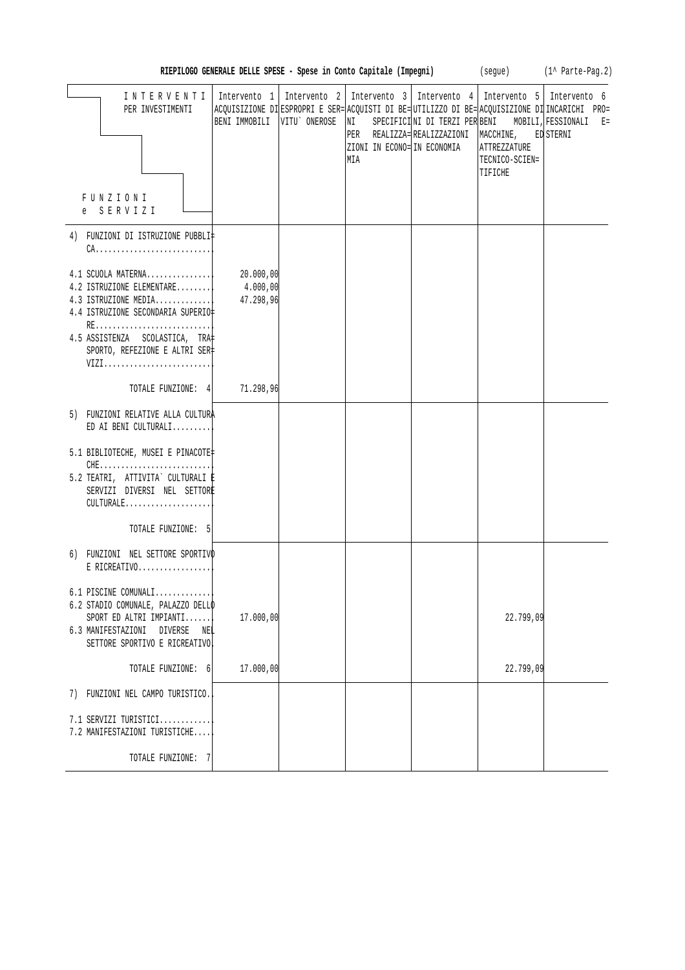| RIEPILOGO GENERALE DELLE SPESE - Spese in Conto Capitale (Impegni) |  |  |  |  |  |  |  |  |  |  |  |  |
|--------------------------------------------------------------------|--|--|--|--|--|--|--|--|--|--|--|--|
|--------------------------------------------------------------------|--|--|--|--|--|--|--|--|--|--|--|--|

 $(segue)$   $(1^{\wedge}$  Parte-Pag. 2)

| INTERVENTI<br>PER INVESTIMENTI<br>FUNZIONI<br>e SERVIZI                                                                                                                                          | BENI IMMOBILI                      | VITU ONEROSE | NI<br>ZIONI IN ECONO= IN ECONOMIA<br>MIA | Intervento 1   Intervento 2   Intervento 3   Intervento 4   Intervento 5   Intervento 6<br>ACQUISIZIONE DIESPROPRI E SER= ACQUISTI DI BE= UTILIZZO DI BE= ACQUISIZIONE DI INCARICHI PRO=<br>SPECIFICINI DI TERZI PER BENI MOBILI, FESSIONALI E=<br>PER REALIZZA= REALIZZAZIONI   MACCHINE, ED STERNI | ATTREZZATURE<br>TECNICO-SCIEN=<br>TIFICHE |  |
|--------------------------------------------------------------------------------------------------------------------------------------------------------------------------------------------------|------------------------------------|--------------|------------------------------------------|------------------------------------------------------------------------------------------------------------------------------------------------------------------------------------------------------------------------------------------------------------------------------------------------------|-------------------------------------------|--|
| 4) FUNZIONI DI ISTRUZIONE PUBBLI‡                                                                                                                                                                |                                    |              |                                          |                                                                                                                                                                                                                                                                                                      |                                           |  |
| $CA.$                                                                                                                                                                                            |                                    |              |                                          |                                                                                                                                                                                                                                                                                                      |                                           |  |
| 4.1 SCUOLA MATERNA <br>4.2 ISTRUZIONE ELEMENTARE<br>4.3 ISTRUZIONE MEDIA<br>4.4 ISTRUZIONE SECONDARIA SUPERIO‡<br>RE<br>4.5 ASSISTENZA SCOLASTICA, TRA<br>SPORTO, REFEZIONE E ALTRI SER‡<br>VIZI | 20.000,00<br>4.000,00<br>47.298,96 |              |                                          |                                                                                                                                                                                                                                                                                                      |                                           |  |
| TOTALE FUNZIONE: 4                                                                                                                                                                               | 71.298,96                          |              |                                          |                                                                                                                                                                                                                                                                                                      |                                           |  |
| 5) FUNZIONI RELATIVE ALLA CULTURA<br>ED AI BENI CULTURALI                                                                                                                                        |                                    |              |                                          |                                                                                                                                                                                                                                                                                                      |                                           |  |
| 5.1 BIBLIOTECHE, MUSEI E PINACOTE‡<br>5.2 TEATRI, ATTIVITA` CULTURALI E<br>SERVIZI DIVERSI NEL SETTORE<br>CULTURALE                                                                              |                                    |              |                                          |                                                                                                                                                                                                                                                                                                      |                                           |  |
| TOTALE FUNZIONE: 5                                                                                                                                                                               |                                    |              |                                          |                                                                                                                                                                                                                                                                                                      |                                           |  |
| 6) FUNZIONI NEL SETTORE SPORTIVO<br>$E$ RICREATIVO                                                                                                                                               |                                    |              |                                          |                                                                                                                                                                                                                                                                                                      |                                           |  |
| 6.1 PISCINE COMUNALI<br>6.2 STADIO COMUNALE, PALAZZO DELLO<br>SPORT ED ALTRI IMPIANTI<br>6.3 MANIFESTAZIONI DIVERSE<br>NEL<br>SETTORE SPORTIVO E RICREATIVO                                      | 17.000,00                          |              |                                          |                                                                                                                                                                                                                                                                                                      | 22.799,09                                 |  |
| TOTALE FUNZIONE: 6                                                                                                                                                                               | 17.000,00                          |              |                                          |                                                                                                                                                                                                                                                                                                      | 22.799,09                                 |  |
| 7) FUNZIONI NEL CAMPO TURISTICO.                                                                                                                                                                 |                                    |              |                                          |                                                                                                                                                                                                                                                                                                      |                                           |  |
| 7.1 SERVIZI TURISTICI<br>7.2 MANIFESTAZIONI TURISTICHE                                                                                                                                           |                                    |              |                                          |                                                                                                                                                                                                                                                                                                      |                                           |  |
| TOTALE FUNZIONE: 7                                                                                                                                                                               |                                    |              |                                          |                                                                                                                                                                                                                                                                                                      |                                           |  |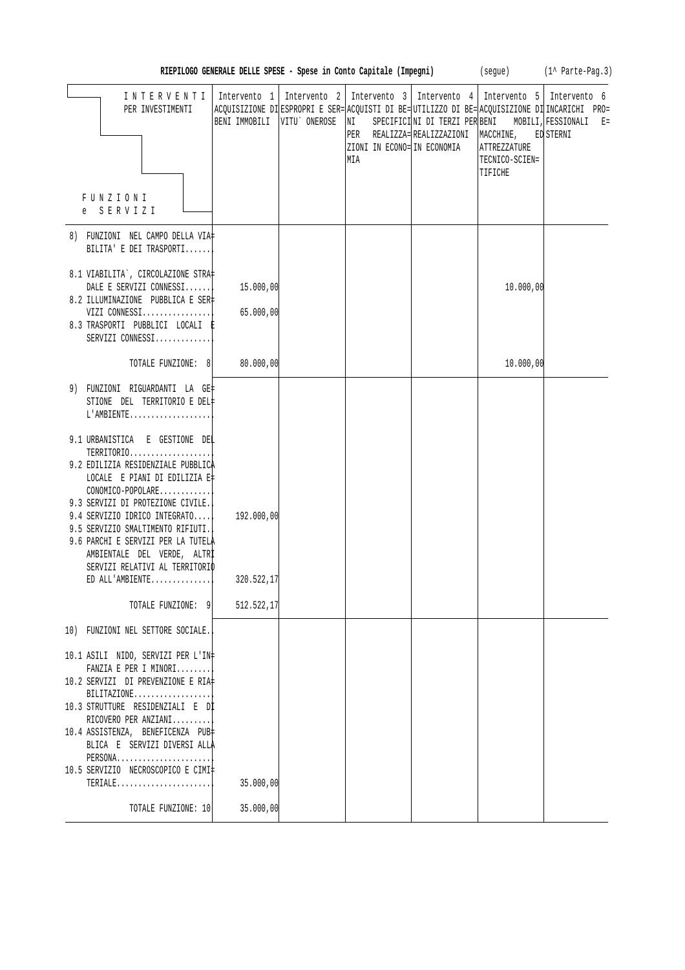| RIEPILOGO GENERALE DELLE SPESE - Spese in Conto Capitale (Impegni) |  |  | (seque) | (1^ Parte-Pag.3) |
|--------------------------------------------------------------------|--|--|---------|------------------|

| INTERVENTI<br>PER INVESTIMENTI                                                                                                                                             | BENI IMMOBILI          | VITU ONEROSE | Intervento 1   Intervento 2   Intervento 3   Intervento 4   Intervento 5   Intervento 6<br>ΝI<br>ZIONI IN ECONO= IN ECONOMIA<br>MIA | PER REALIZZA= REALIZZAZIONI   MACCHINE, | ATTREZZATURE<br>TECNICO-SCIEN=<br>TIFICHE | ACQUISIZIONE DI ESPROPRI E SER= ACQUISTI DI BE= UTILIZZO DI BE= ACQUISIZIONE DI INCARICHI PRO=<br>SPECIFICINI DI TERZI PER BENI MOBILI, FESSIONALI E=<br>ED STERNI |
|----------------------------------------------------------------------------------------------------------------------------------------------------------------------------|------------------------|--------------|-------------------------------------------------------------------------------------------------------------------------------------|-----------------------------------------|-------------------------------------------|--------------------------------------------------------------------------------------------------------------------------------------------------------------------|
| <b>FUNZIONI</b><br>e SERVIZI                                                                                                                                               |                        |              |                                                                                                                                     |                                         |                                           |                                                                                                                                                                    |
| 8) FUNZIONI NEL CAMPO DELLA VIA‡<br>BILITA' E DEI TRASPORTI                                                                                                                |                        |              |                                                                                                                                     |                                         |                                           |                                                                                                                                                                    |
| 8.1 VIABILITA`, CIRCOLAZIONE STRA‡<br>DALE E SERVIZI CONNESSI<br>8.2 ILLUMINAZIONE PUBBLICA E SER‡<br>VIZI CONNESSI<br>8.3 TRASPORTI PUBBLICI LOCALI E<br>SERVIZI CONNESSI | 15.000,00<br>65.000,00 |              |                                                                                                                                     |                                         | 10.000,00                                 |                                                                                                                                                                    |
| TOTALE FUNZIONE: 8                                                                                                                                                         | 80.000,00              |              |                                                                                                                                     |                                         | 10.000,00                                 |                                                                                                                                                                    |
| 9) FUNZIONI RIGUARDANTI LA GE‡<br>STIONE DEL TERRITORIO E DEL#<br>$L'AMBIENTER$<br>9.1 URBANISTICA E GESTIONE DEL                                                          |                        |              |                                                                                                                                     |                                         |                                           |                                                                                                                                                                    |
| TERRITORIO<br>9.2 EDILIZIA RESIDENZIALE PUBBLICA<br>LOCALE E PIANI DI EDILIZIA E‡<br>CONOMICO-POPOLARE<br>9.3 SERVIZI DI PROTEZIONE CIVILE.                                |                        |              |                                                                                                                                     |                                         |                                           |                                                                                                                                                                    |
| 9.4 SERVIZIO IDRICO INTEGRATO<br>9.5 SERVIZIO SMALTIMENTO RIFIUTI.<br>9.6 PARCHI E SERVIZI PER LA TUTELÀ<br>AMBIENTALE DEL VERDE, ALTRI                                    | 192.000,00             |              |                                                                                                                                     |                                         |                                           |                                                                                                                                                                    |
| SERVIZI RELATIVI AL TERRITORIO<br>ED ALL'AMBIENTE                                                                                                                          | 320.522,17             |              |                                                                                                                                     |                                         |                                           |                                                                                                                                                                    |
| TOTALE FUNZIONE: 9                                                                                                                                                         | 512.522,17             |              |                                                                                                                                     |                                         |                                           |                                                                                                                                                                    |
| 10) FUNZIONI NEL SETTORE SOCIALE.                                                                                                                                          |                        |              |                                                                                                                                     |                                         |                                           |                                                                                                                                                                    |
| 10.1 ASILI NIDO, SERVIZI PER L'IN‡<br>FANZIA E PER I MINORI<br>10.2 SERVIZI DI PREVENZIONE E RIA‡                                                                          |                        |              |                                                                                                                                     |                                         |                                           |                                                                                                                                                                    |
| $BILITAZIONE$<br>10.3 STRUTTURE RESIDENZIALI E DI<br>RICOVERO PER ANZIANI                                                                                                  |                        |              |                                                                                                                                     |                                         |                                           |                                                                                                                                                                    |
| 10.4 ASSISTENZA, BENEFICENZA PUB<br>BLICA E SERVIZI DIVERSI ALLA<br>PERSONA                                                                                                |                        |              |                                                                                                                                     |                                         |                                           |                                                                                                                                                                    |
| 10.5 SERVIZIO NECROSCOPICO E CIMI‡<br>$TERIALE$                                                                                                                            | 35.000,00              |              |                                                                                                                                     |                                         |                                           |                                                                                                                                                                    |
| TOTALE FUNZIONE: 10                                                                                                                                                        | 35.000,00              |              |                                                                                                                                     |                                         |                                           |                                                                                                                                                                    |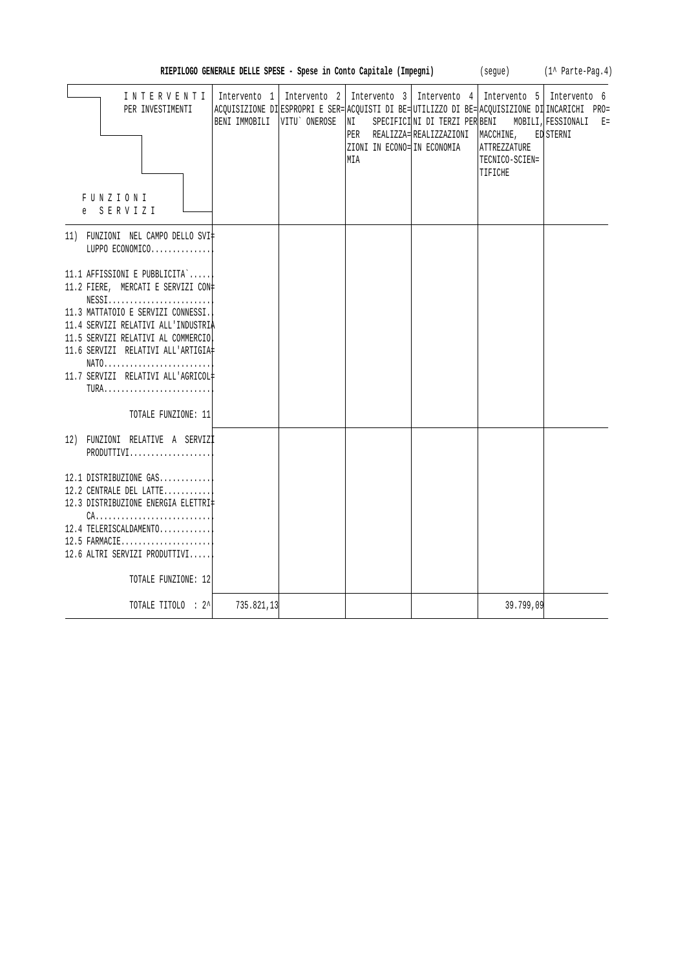| Intervento 2   Intervento 3   Intervento 4   Intervento 5   Intervento 6<br>INTERVENTI<br>Intervento 1<br>PER INVESTIMENTI<br>ACQUISIZIONE DI ESPROPRI E SER= ACQUISTI DI BE= UTILIZZO DI BE= ACQUISIZIONE DI INCARICHI PRO=<br>BENI IMMOBILI VITU' ONEROSE<br>SPECIFICINI DI TERZI PER BENI<br>MOBILI, FESSIONALI E=<br> NI<br>PER REALIZZA=REALIZZAZIONI<br>MACCHINE,<br>ED STERNI<br>ZIONI IN ECONO= IN ECONOMIA<br><b>ATTREZZATURE</b><br>MIA<br>TECNICO-SCIEN=<br>TIFICHE |  |
|--------------------------------------------------------------------------------------------------------------------------------------------------------------------------------------------------------------------------------------------------------------------------------------------------------------------------------------------------------------------------------------------------------------------------------------------------------------------------------|--|
| FUNZIONI                                                                                                                                                                                                                                                                                                                                                                                                                                                                       |  |
| e SERVIZI                                                                                                                                                                                                                                                                                                                                                                                                                                                                      |  |
| 11) FUNZIONI NEL CAMPO DELLO SVI‡<br>LUPPO ECONOMICO                                                                                                                                                                                                                                                                                                                                                                                                                           |  |
| 11.1 AFFISSIONI E PUBBLICITA`<br>11.2 FIERE, MERCATI E SERVIZI CON#<br>$NESS1, \ldots, \ldots, \ldots, \ldots, \ldots, \ldots,$<br>11.3 MATTATOIO E SERVIZI CONNESSI.<br>11.4 SERVIZI RELATIVI ALL'INDUSTRIA<br>11.5 SERVIZI RELATIVI AL COMMERCIO<br>11.6 SERVIZI RELATIVI ALL'ARTIGIA#<br>NATO<br>11.7 SERVIZI RELATIVI ALL'AGRICOL#<br>TURA                                                                                                                                 |  |
| TOTALE FUNZIONE: 11                                                                                                                                                                                                                                                                                                                                                                                                                                                            |  |
| 12) FUNZIONI RELATIVE A SERVIZI<br>PRODUTTIVI<br>12.1 DISTRIBUZIONE GAS<br>12.2 CENTRALE DEL LATTE<br>12.3 DISTRIBUZIONE ENERGIA ELETTRI‡<br>$CA.$<br>12.4 TELERISCALDAMENTO<br>$12.5$ FARMACIE<br>12.6 ALTRI SERVIZI PRODUTTIVI<br>TOTALE FUNZIONE: 12                                                                                                                                                                                                                        |  |
| 39.799,09<br>TOTALE TITOLO : 2^ <br>735.821,13                                                                                                                                                                                                                                                                                                                                                                                                                                 |  |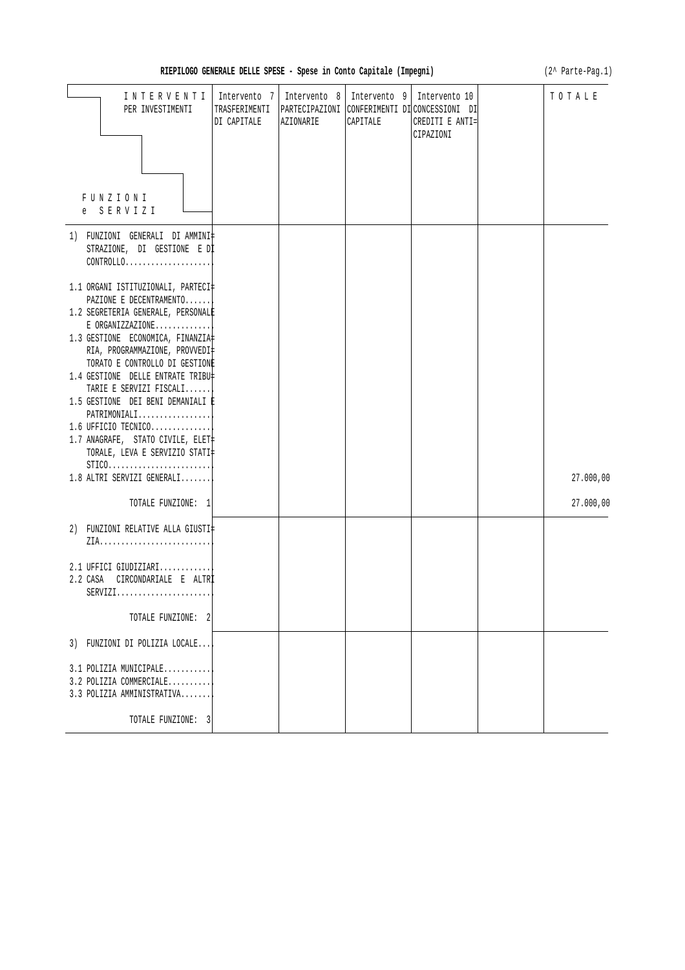| RIEPILOGO GENERALE DELLE SPESE - Spese in Conto Capitale (Impegni) |  |  |  |  |  |  |  |  |
|--------------------------------------------------------------------|--|--|--|--|--|--|--|--|
|--------------------------------------------------------------------|--|--|--|--|--|--|--|--|

**RIEPILOGO GENERALE DELLE SPESE - Spese in Conto Capitale (Impegni)** (2^ Parte-Pag.1)

| INTERVENTI<br>PER INVESTIMENTI<br>FUNZIONI<br>e SERVIZI                                                                                                                                                                                                                                                                                                                                                                                                                                                                                                                                                                            | Intervento 7<br>TRASFERIMENTI<br>DI CAPITALE | Intervento 8<br>AZIONARIE | CAPITALE | Intervento 9   Intervento 10<br>PARTECIPAZIONI CONFERIMENTI DICONCESSIONI DI<br>CREDITI E ANTI=<br>CIPAZIONI | TOTALE    |
|------------------------------------------------------------------------------------------------------------------------------------------------------------------------------------------------------------------------------------------------------------------------------------------------------------------------------------------------------------------------------------------------------------------------------------------------------------------------------------------------------------------------------------------------------------------------------------------------------------------------------------|----------------------------------------------|---------------------------|----------|--------------------------------------------------------------------------------------------------------------|-----------|
| 1) FUNZIONI GENERALI DI AMMINI‡<br>STRAZIONE, DI GESTIONE E DI<br>$CONTROLLO.$<br>1.1 ORGANI ISTITUZIONALI, PARTECI‡<br>PAZIONE E DECENTRAMENTO<br>1.2 SEGRETERIA GENERALE, PERSONALE<br>$E$ ORGANIZZAZIONE<br>1.3 GESTIONE ECONOMICA, FINANZIA<br>RIA, PROGRAMMAZIONE, PROVVEDI‡<br>TORATO E CONTROLLO DI GESTIONE<br>1.4 GESTIONE DELLE ENTRATE TRIBU‡<br>TARIE E SERVIZI FISCALI<br>1.5 GESTIONE DEI BENI DEMANIALI È<br>PATRIMONIALI<br>$1.6$ UFFICIO TECNICO<br>1.7 ANAGRAFE, STATO CIVILE, ELET<br>TORALE, LEVA E SERVIZIO STATI‡<br>$STICO. \ldots \ldots \ldots \ldots \ldots \ldots \ldots$<br>1.8 ALTRI SERVIZI GENERALI |                                              |                           |          |                                                                                                              | 27.000,00 |
| TOTALE FUNZIONE: 1<br>2) FUNZIONI RELATIVE ALLA GIUSTI‡                                                                                                                                                                                                                                                                                                                                                                                                                                                                                                                                                                            |                                              |                           |          |                                                                                                              | 27.000,00 |
| 2.1 UFFICI GIUDIZIARI<br>2.2 CASA<br>CIRCONDARIALE E ALTRİ<br>$SERVIZI.$<br>TOTALE FUNZIONE: 2                                                                                                                                                                                                                                                                                                                                                                                                                                                                                                                                     |                                              |                           |          |                                                                                                              |           |
| 3) FUNZIONI DI POLIZIA LOCALE                                                                                                                                                                                                                                                                                                                                                                                                                                                                                                                                                                                                      |                                              |                           |          |                                                                                                              |           |
| 3.1 POLIZIA MUNICIPALE<br>3.2 POLIZIA COMMERCIALE<br>3.3 POLIZIA AMMINISTRATIVA                                                                                                                                                                                                                                                                                                                                                                                                                                                                                                                                                    |                                              |                           |          |                                                                                                              |           |
| TOTALE FUNZIONE: 3                                                                                                                                                                                                                                                                                                                                                                                                                                                                                                                                                                                                                 |                                              |                           |          |                                                                                                              |           |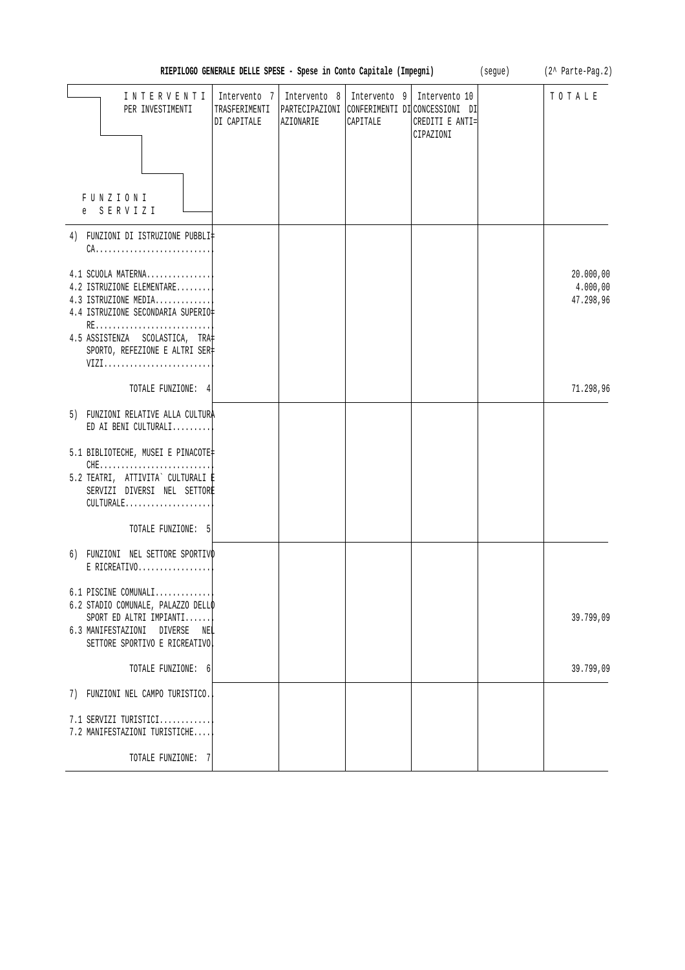| RIEPILOGO GENERALE DELLE SPESE - Spese in Conto Capitale (Impegni)<br>(segue)                                      |                                              |           |                                         |                                                                                               |  | (2^ Parte-Pag.2)                   |
|--------------------------------------------------------------------------------------------------------------------|----------------------------------------------|-----------|-----------------------------------------|-----------------------------------------------------------------------------------------------|--|------------------------------------|
| INTERVENTI<br>PER INVESTIMENTI                                                                                     | Intervento 7<br>TRASFERIMENTI<br>DI CAPITALE | AZIONARIE | Intervento 8   Intervento 9<br>CAPITALE | Intervento 10<br>PARTECIPAZIONI CONFERIMENTI DICONCESSIONI DI<br>CREDITI E ANTI=<br>CIPAZIONI |  | TOTALE                             |
|                                                                                                                    |                                              |           |                                         |                                                                                               |  |                                    |
| FUNZIONI<br>S E R V I Z I<br>e                                                                                     |                                              |           |                                         |                                                                                               |  |                                    |
| 4) FUNZIONI DI ISTRUZIONE PUBBLI‡                                                                                  |                                              |           |                                         |                                                                                               |  |                                    |
| 4.1 SCUOLA MATERNA<br>4.2 ISTRUZIONE ELEMENTARE<br>4.3 ISTRUZIONE MEDIA<br>4.4 ISTRUZIONE SECONDARIA SUPERIO‡      |                                              |           |                                         |                                                                                               |  | 20.000,00<br>4.000,00<br>47.298,96 |
| 4.5 ASSISTENZA SCOLASTICA, TRA<br>SPORTO, REFEZIONE E ALTRI SER‡<br>VIZI                                           |                                              |           |                                         |                                                                                               |  |                                    |
| TOTALE FUNZIONE: 4                                                                                                 |                                              |           |                                         |                                                                                               |  | 71.298,96                          |
| 5) FUNZIONI RELATIVE ALLA CULTURA<br>ED AI BENI CULTURALI                                                          |                                              |           |                                         |                                                                                               |  |                                    |
| 5.1 BIBLIOTECHE, MUSEI E PINACOTE<br>5.2 TEATRI, ATTIVITA` CULTURALI ‡<br>SERVIZI DIVERSI NEL SETTORE<br>CULTURALE |                                              |           |                                         |                                                                                               |  |                                    |
| TOTALE FUNZIONE: 5                                                                                                 |                                              |           |                                         |                                                                                               |  |                                    |
| 6) FUNZIONI NEL SETTORE SPORTIVO<br>$E$ RICREATIVO                                                                 |                                              |           |                                         |                                                                                               |  |                                    |
| 6.1 PISCINE COMUNALI<br>6.2 STADIO COMUNALE, PALAZZO DELLO<br>SPORT ED ALTRI IMPIANTI                              |                                              |           |                                         |                                                                                               |  | 39.799,09                          |
| 6.3 MANIFESTAZIONI DIVERSE<br>NEL<br>SETTORE SPORTIVO E RICREATIVO                                                 |                                              |           |                                         |                                                                                               |  |                                    |
| TOTALE FUNZIONE: 6                                                                                                 |                                              |           |                                         |                                                                                               |  | 39.799,09                          |
| 7) FUNZIONI NEL CAMPO TURISTICO.                                                                                   |                                              |           |                                         |                                                                                               |  |                                    |
| $7.1$ SERVIZI TURISTICI<br>7.2 MANIFESTAZIONI TURISTICHE                                                           |                                              |           |                                         |                                                                                               |  |                                    |
| TOTALE FUNZIONE: 7                                                                                                 |                                              |           |                                         |                                                                                               |  |                                    |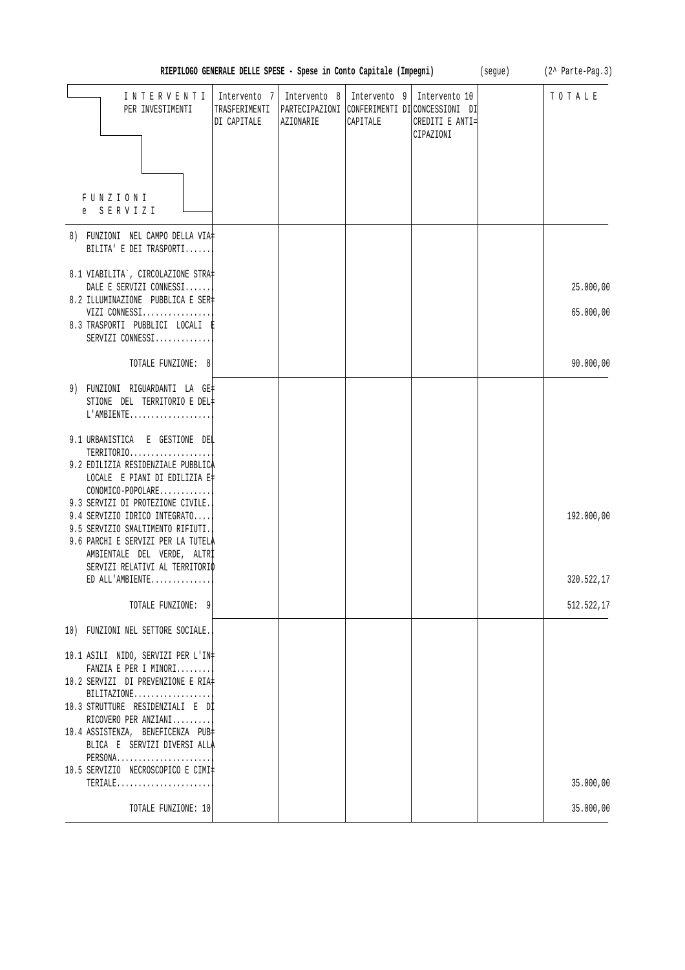| RIEPILOGO GENERALE DELLE SPESE - Spese in Conto Capitale (Impegni)                                                                                                                                | (seque)<br>(2^ Parte-Pag.3)                  |           |                                           |                                                                                               |  |            |
|---------------------------------------------------------------------------------------------------------------------------------------------------------------------------------------------------|----------------------------------------------|-----------|-------------------------------------------|-----------------------------------------------------------------------------------------------|--|------------|
| INTERVENTI<br>PER INVESTIMENTI                                                                                                                                                                    | Intervento 7<br>TRASFERIMENTI<br>DI CAPITALE | AZIONARIE | Intervento 8   Intervento 9  <br>CAPITALE | Intervento 10<br>PARTECIPAZIONI CONFERIMENTI DICONCESSIONI DI<br>CREDITI E ANTI=<br>CIPAZIONI |  | TOTALE     |
| <b>FUNZIONI</b><br>e SERVIZI                                                                                                                                                                      |                                              |           |                                           |                                                                                               |  |            |
| 8) FUNZIONI NEL CAMPO DELLA VIA‡<br>BILITA' E DEI TRASPORTI                                                                                                                                       |                                              |           |                                           |                                                                                               |  |            |
| 8.1 VIABILITA', CIRCOLAZIONE STRA<br>DALE E SERVIZI CONNESSI                                                                                                                                      |                                              |           |                                           |                                                                                               |  | 25.000,00  |
| 8.2 ILLUMINAZIONE PUBBLICA E SER‡<br>VIZI CONNESSI<br>8.3 TRASPORTI PUBBLICI LOCALI E<br>SERVIZI CONNESSI                                                                                         |                                              |           |                                           |                                                                                               |  | 65.000,00  |
| TOTALE FUNZIONE: 8                                                                                                                                                                                |                                              |           |                                           |                                                                                               |  | 90.000,00  |
| 9) FUNZIONI RIGUARDANTI LA GE‡<br>STIONE DEL TERRITORIO E DEL#<br>L'AMBIENTE                                                                                                                      |                                              |           |                                           |                                                                                               |  |            |
| 9.1 URBANISTICA E GESTIONE DEL<br>TERRITORIO<br>9.2 EDILIZIA RESIDENZIALE PUBBLICA<br>LOCALE E PIANI DI EDILIZIA E‡                                                                               |                                              |           |                                           |                                                                                               |  |            |
| CONOMICO-POPOLARE<br>9.3 SERVIZI DI PROTEZIONE CIVILE.<br>9.4 SERVIZIO IDRICO INTEGRATO<br>9.5 SERVIZIO SMALTIMENTO RIFIUTI.<br>9.6 PARCHI E SERVIZI PER LA TUTELA<br>AMBIENTALE DEL VERDE, ALTRI |                                              |           |                                           |                                                                                               |  | 192.000,00 |
| SERVIZI RELATIVI AL TERRITORIO<br>ED ALL'AMBIENTE                                                                                                                                                 |                                              |           |                                           |                                                                                               |  | 320.522,17 |
| TOTALE FUNZIONE: 9                                                                                                                                                                                |                                              |           |                                           |                                                                                               |  | 512.522,17 |
| 10) FUNZIONI NEL SETTORE SOCIALE.                                                                                                                                                                 |                                              |           |                                           |                                                                                               |  |            |
| 10.1 ASILI NIDO, SERVIZI PER L'IN+<br>FANZIA E PER I MINORI                                                                                                                                       |                                              |           |                                           |                                                                                               |  |            |
| 10.2 SERVIZI DI PREVENZIONE E RIA#<br>$BILITAZIONE$<br>10.3 STRUTTURE RESIDENZIALI E Dİ<br>RICOVERO PER ANZIANI                                                                                   |                                              |           |                                           |                                                                                               |  |            |
| 10.4 ASSISTENZA, BENEFICENZA PUB‡<br>BLICA E SERVIZI DIVERSI ALLA<br>PERSONA                                                                                                                      |                                              |           |                                           |                                                                                               |  |            |
| 10.5 SERVIZIO NECROSCOPICO E CIMI‡<br>$\mathtt{TERIALE} \ldots \ldots \ldots \ldots \ldots \ldots \ldots \ldots$                                                                                  |                                              |           |                                           |                                                                                               |  | 35.000,00  |
| TOTALE FUNZIONE: 10                                                                                                                                                                               |                                              |           |                                           |                                                                                               |  | 35.000,00  |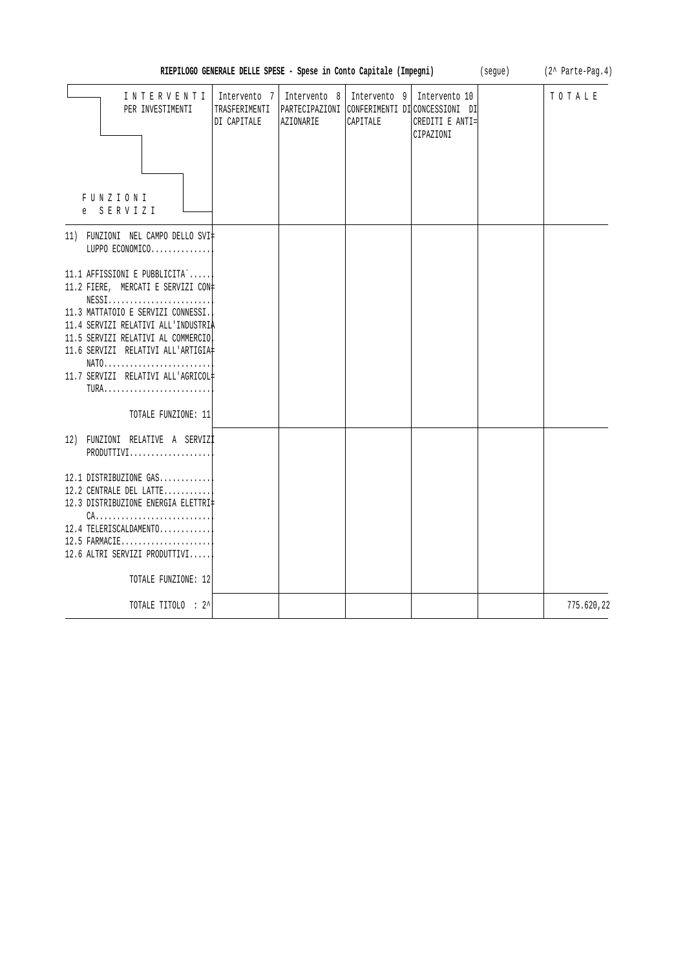| RIEPILOGO GENERALE DELLE SPESE - Spese in Conto Capitale (Impegni)                                                                                                                                                                                                                            | (seque)                     | (2^ Parte-Pag.4)          |                          |                                                                                                                  |  |            |
|-----------------------------------------------------------------------------------------------------------------------------------------------------------------------------------------------------------------------------------------------------------------------------------------------|-----------------------------|---------------------------|--------------------------|------------------------------------------------------------------------------------------------------------------|--|------------|
| INTERVENTI<br>PER INVESTIMENTI<br>FUNZIONI<br>e SERVIZI                                                                                                                                                                                                                                       | Intervento 7<br>DI CAPITALE | Intervento 8<br>AZIONARIE | Intervento 9<br>CAPITALE | Intervento 10<br>TRASFERIMENTI   PARTECIPAZIONI   CONFERIMENTI DI CONCESSIONI DI<br>CREDITI E ANTI=<br>CIPAZIONI |  | TOTALE     |
| 11) FUNZIONI NEL CAMPO DELLO SVI‡<br>LUPPO ECONOMICO                                                                                                                                                                                                                                          |                             |                           |                          |                                                                                                                  |  |            |
| 11.1 AFFISSIONI E PUBBLICITA`<br>11.2 FIERE, MERCATI E SERVIZI CON‡<br>NESS1<br>11.3 MATTATOIO E SERVIZI CONNESSI.<br>11.4 SERVIZI RELATIVI ALL'INDUSTRIA<br>11.5 SERVIZI RELATIVI AL COMMERCIO<br>11.6 SERVIZI RELATIVI ALL'ARTIGIA#<br>$NATO$<br>11.7 SERVIZI RELATIVI ALL'AGRICOL#<br>TURA |                             |                           |                          |                                                                                                                  |  |            |
| TOTALE FUNZIONE: 11                                                                                                                                                                                                                                                                           |                             |                           |                          |                                                                                                                  |  |            |
| 12) FUNZIONI RELATIVE A SERVIZI<br>PRODUTTIVI                                                                                                                                                                                                                                                 |                             |                           |                          |                                                                                                                  |  |            |
| 12.1 DISTRIBUZIONE GAS<br>12.2 CENTRALE DEL LATTE<br>12.3 DISTRIBUZIONE ENERGIA ELETTRI#<br>12.4 TELERISCALDAMENTO<br>12.5 FARMACIE<br>12.6 ALTRI SERVIZI PRODUTTIVI<br>TOTALE FUNZIONE: 12                                                                                                   |                             |                           |                          |                                                                                                                  |  |            |
| TOTALE TITOLO : 2^                                                                                                                                                                                                                                                                            |                             |                           |                          |                                                                                                                  |  | 775.620,22 |
|                                                                                                                                                                                                                                                                                               |                             |                           |                          |                                                                                                                  |  |            |